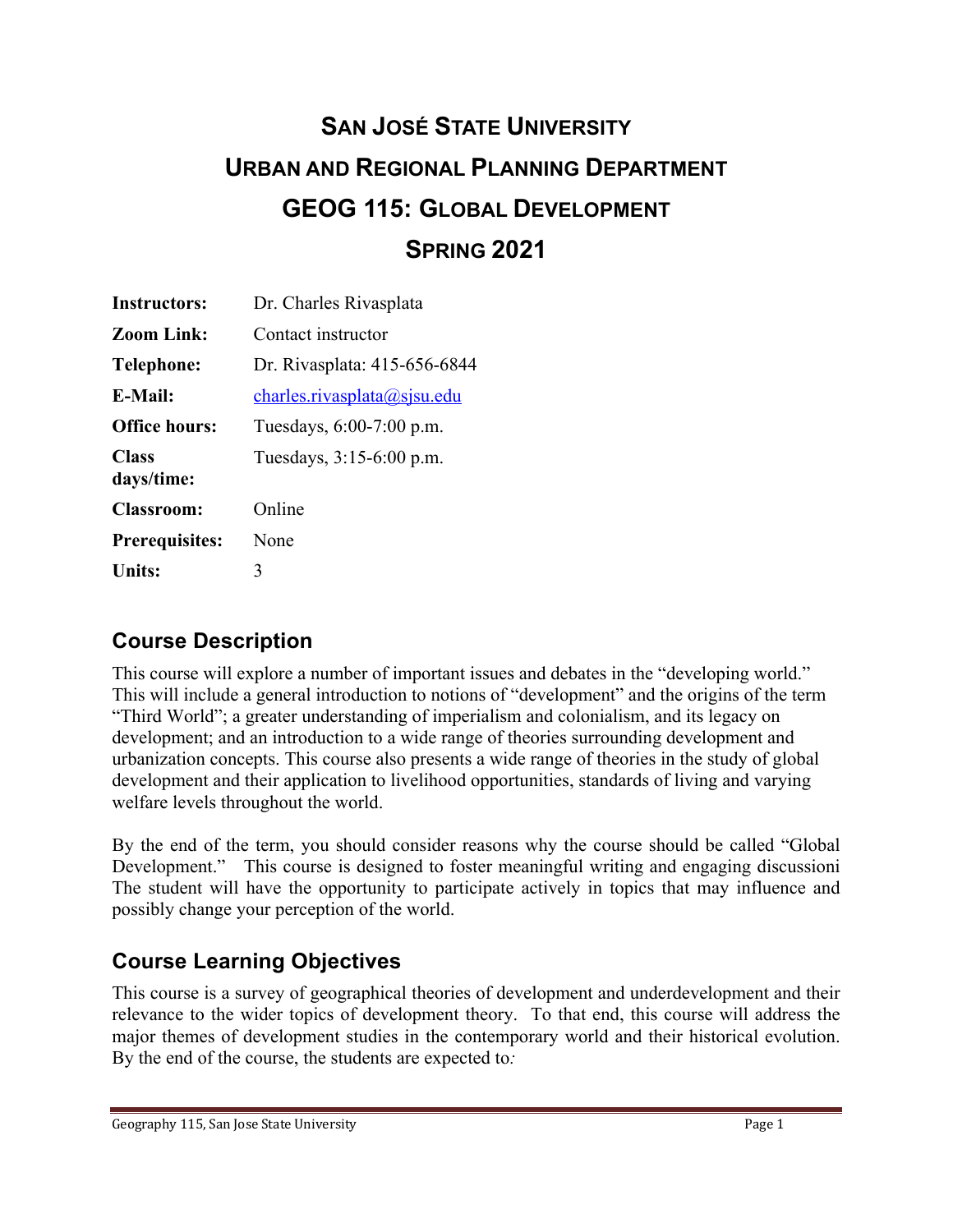# **SAN JOSÉ STATE UNIVERSITY URBAN AND REGIONAL PLANNING DEPARTMENT GEOG 115: GLOBAL DEVELOPMENT SPRING 2021**

| Instructors:               | Dr. Charles Rivasplata       |
|----------------------------|------------------------------|
| <b>Zoom Link:</b>          | Contact instructor           |
| <b>Telephone:</b>          | Dr. Rivasplata: 415-656-6844 |
| <b>E-Mail:</b>             | charles. rivasplata@sisu.edu |
| <b>Office hours:</b>       | Tuesdays, 6:00-7:00 p.m.     |
| <b>Class</b><br>days/time: | Tuesdays, 3:15-6:00 p.m.     |
| <b>Classroom:</b>          | Online                       |
| <b>Prerequisites:</b>      | None                         |
| <b>Units:</b>              | 3                            |

# **Course Description**

This course will explore a number of important issues and debates in the "developing world." This will include a general introduction to notions of "development" and the origins of the term "Third World"; a greater understanding of imperialism and colonialism, and its legacy on development; and an introduction to a wide range of theories surrounding development and urbanization concepts. This course also presents a wide range of theories in the study of global development and their application to livelihood opportunities, standards of living and varying welfare levels throughout the world.

By the end of the term, you should consider reasons why the course should be called "Global Development." This course is designed to foster meaningful writing and engaging discussioni The student will have the opportunity to participate actively in topics that may influence and possibly change your perception of the world.

# **Course Learning Objectives**

This course is a survey of geographical theories of development and underdevelopment and their relevance to the wider topics of development theory. To that end, this course will address the major themes of development studies in the contemporary world and their historical evolution. By the end of the course, the students are expected to*:*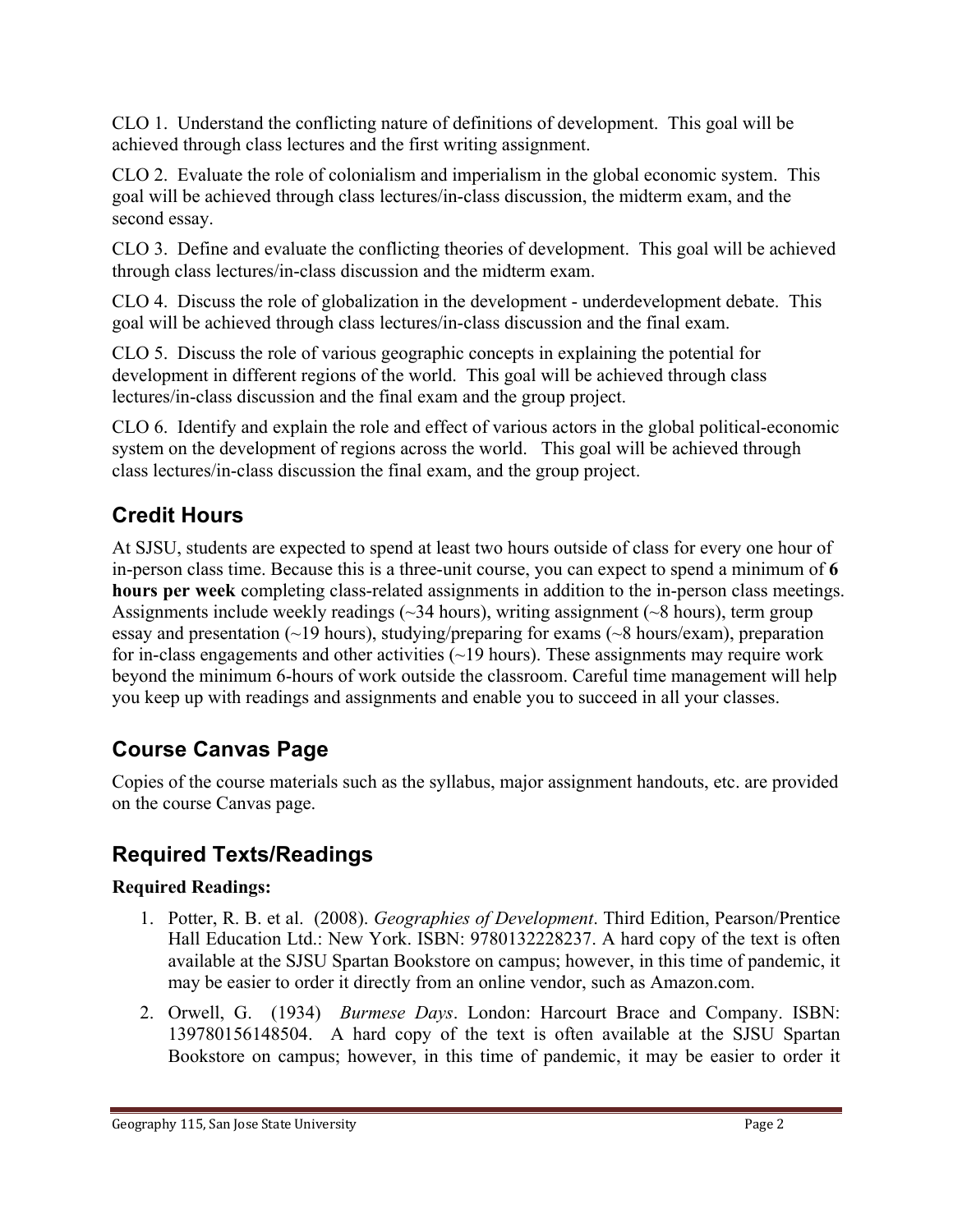CLO 1. Understand the conflicting nature of definitions of development. This goal will be achieved through class lectures and the first writing assignment.

CLO 2. Evaluate the role of colonialism and imperialism in the global economic system. This goal will be achieved through class lectures/in-class discussion, the midterm exam, and the second essay.

CLO 3. Define and evaluate the conflicting theories of development. This goal will be achieved through class lectures/in-class discussion and the midterm exam.

CLO 4. Discuss the role of globalization in the development - underdevelopment debate. This goal will be achieved through class lectures/in-class discussion and the final exam.

CLO 5. Discuss the role of various geographic concepts in explaining the potential for development in different regions of the world. This goal will be achieved through class lectures/in-class discussion and the final exam and the group project.

CLO 6. Identify and explain the role and effect of various actors in the global political-economic system on the development of regions across the world. This goal will be achieved through class lectures/in-class discussion the final exam, and the group project.

# **Credit Hours**

At SJSU, students are expected to spend at least two hours outside of class for every one hour of in-person class time. Because this is a three-unit course, you can expect to spend a minimum of **6 hours per week** completing class-related assignments in addition to the in-person class meetings. Assignments include weekly readings  $(\sim]34$  hours), writing assignment  $(\sim]8$  hours), term group essay and presentation  $(\sim 19$  hours), studying/preparing for exams  $(\sim 8$  hours/exam), preparation for in-class engagements and other activities  $(-19$  hours). These assignments may require work beyond the minimum 6-hours of work outside the classroom. Careful time management will help you keep up with readings and assignments and enable you to succeed in all your classes.

# **Course Canvas Page**

Copies of the course materials such as the syllabus, major assignment handouts, etc. are provided on the course Canvas page.

# **Required Texts/Readings**

#### **Required Readings:**

- 1. Potter, R. B. et al. (2008). *Geographies of Development*. Third Edition, Pearson/Prentice Hall Education Ltd.: New York. ISBN: 9780132228237. A hard copy of the text is often available at the SJSU Spartan Bookstore on campus; however, in this time of pandemic, it may be easier to order it directly from an online vendor, such as Amazon.com.
- 2. Orwell, G. (1934) *Burmese Days*. London: Harcourt Brace and Company. ISBN: 139780156148504. A hard copy of the text is often available at the SJSU Spartan Bookstore on campus; however, in this time of pandemic, it may be easier to order it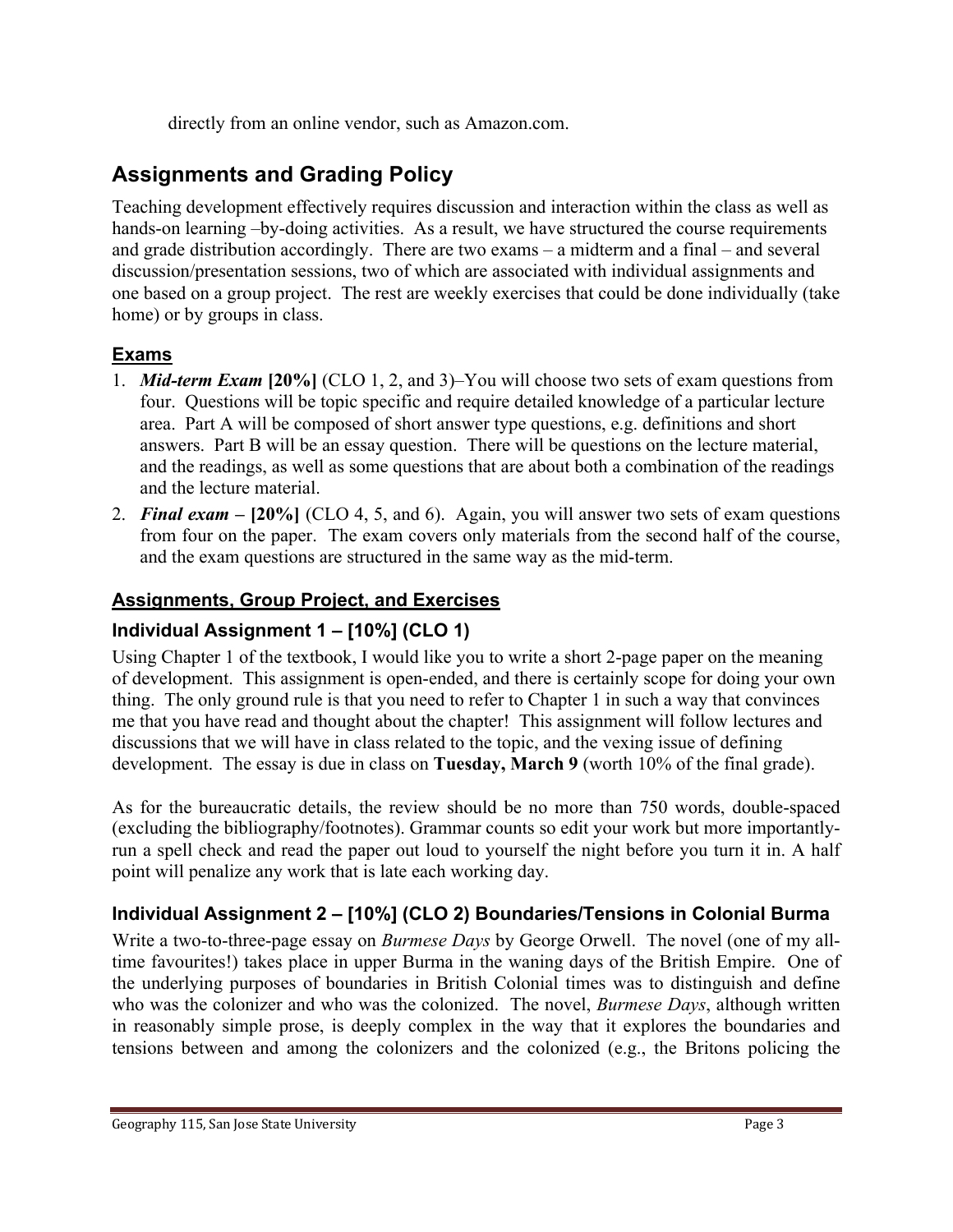directly from an online vendor, such as Amazon.com.

# **Assignments and Grading Policy**

Teaching development effectively requires discussion and interaction within the class as well as hands-on learning –by-doing activities. As a result, we have structured the course requirements and grade distribution accordingly. There are two exams – a midterm and a final – and several discussion/presentation sessions, two of which are associated with individual assignments and one based on a group project. The rest are weekly exercises that could be done individually (take home) or by groups in class.

#### **Exams**

- 1. *Mid-term Exam* **[20%]** (CLO 1, 2, and 3)–You will choose two sets of exam questions from four. Questions will be topic specific and require detailed knowledge of a particular lecture area. Part A will be composed of short answer type questions, e.g. definitions and short answers. Part B will be an essay question. There will be questions on the lecture material, and the readings, as well as some questions that are about both a combination of the readings and the lecture material.
- 2. *Final exam* **– [20%]** (CLO 4, 5, and 6). Again, you will answer two sets of exam questions from four on the paper. The exam covers only materials from the second half of the course, and the exam questions are structured in the same way as the mid-term.

#### **Assignments, Group Project, and Exercises**

#### **Individual Assignment 1 – [10%] (CLO 1)**

Using Chapter 1 of the textbook, I would like you to write a short 2-page paper on the meaning of development. This assignment is open-ended, and there is certainly scope for doing your own thing. The only ground rule is that you need to refer to Chapter 1 in such a way that convinces me that you have read and thought about the chapter! This assignment will follow lectures and discussions that we will have in class related to the topic, and the vexing issue of defining development. The essay is due in class on **Tuesday, March 9** (worth 10% of the final grade).

As for the bureaucratic details, the review should be no more than 750 words, double-spaced (excluding the bibliography/footnotes). Grammar counts so edit your work but more importantlyrun a spell check and read the paper out loud to yourself the night before you turn it in. A half point will penalize any work that is late each working day.

#### **Individual Assignment 2 – [10%] (CLO 2) Boundaries/Tensions in Colonial Burma**

Write a two-to-three-page essay on *Burmese Days* by George Orwell. The novel (one of my alltime favourites!) takes place in upper Burma in the waning days of the British Empire. One of the underlying purposes of boundaries in British Colonial times was to distinguish and define who was the colonizer and who was the colonized. The novel, *Burmese Days*, although written in reasonably simple prose, is deeply complex in the way that it explores the boundaries and tensions between and among the colonizers and the colonized (e.g., the Britons policing the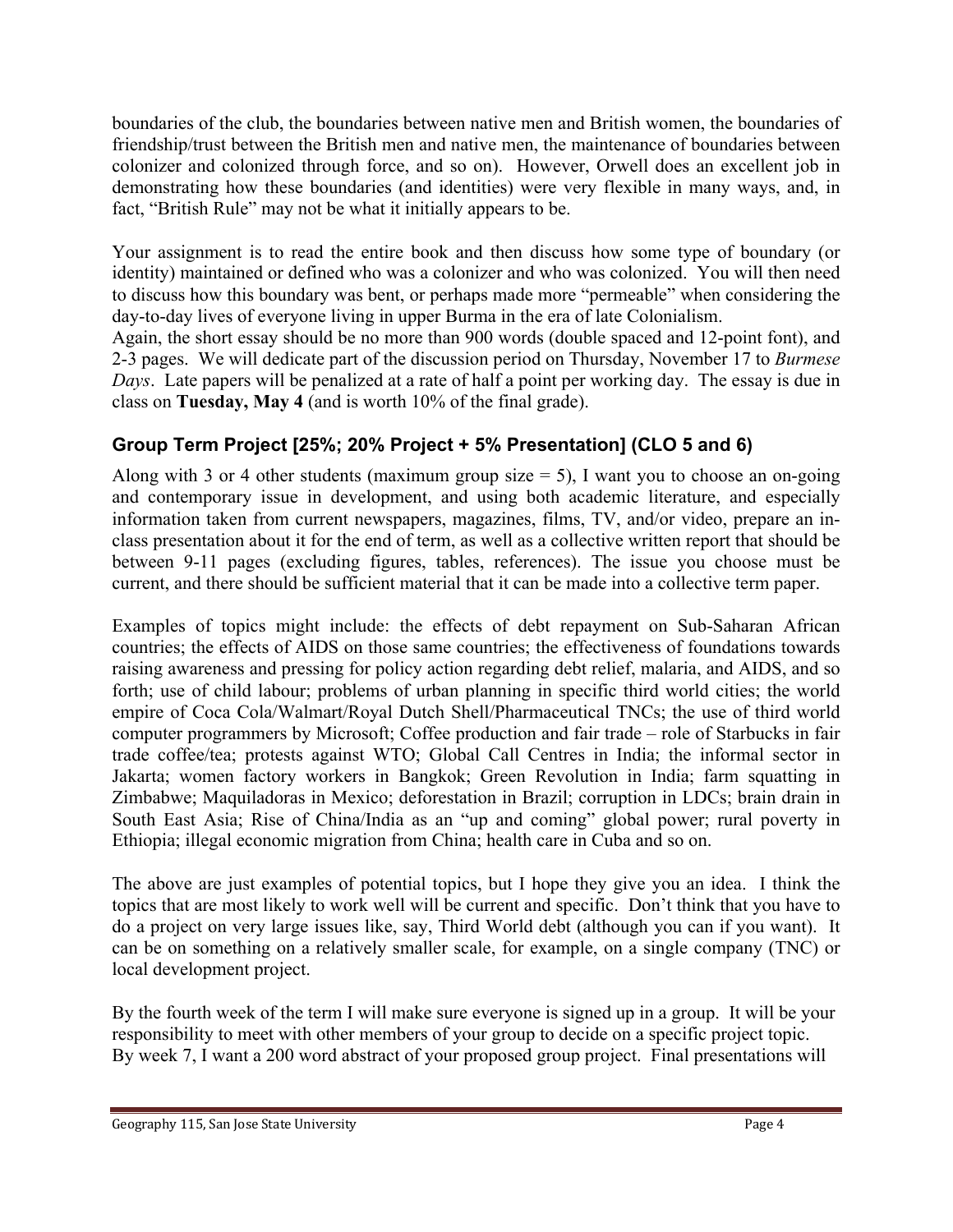boundaries of the club, the boundaries between native men and British women, the boundaries of friendship/trust between the British men and native men, the maintenance of boundaries between colonizer and colonized through force, and so on). However, Orwell does an excellent job in demonstrating how these boundaries (and identities) were very flexible in many ways, and, in fact, "British Rule" may not be what it initially appears to be.

Your assignment is to read the entire book and then discuss how some type of boundary (or identity) maintained or defined who was a colonizer and who was colonized. You will then need to discuss how this boundary was bent, or perhaps made more "permeable" when considering the day-to-day lives of everyone living in upper Burma in the era of late Colonialism.

Again, the short essay should be no more than 900 words (double spaced and 12-point font), and 2-3 pages. We will dedicate part of the discussion period on Thursday, November 17 to *Burmese Days*. Late papers will be penalized at a rate of half a point per working day. The essay is due in class on **Tuesday, May 4** (and is worth 10% of the final grade).

#### **Group Term Project [25%; 20% Project + 5% Presentation] (CLO 5 and 6)**

Along with 3 or 4 other students (maximum group size  $= 5$ ), I want you to choose an on-going and contemporary issue in development, and using both academic literature, and especially information taken from current newspapers, magazines, films, TV, and/or video, prepare an inclass presentation about it for the end of term, as well as a collective written report that should be between 9-11 pages (excluding figures, tables, references). The issue you choose must be current, and there should be sufficient material that it can be made into a collective term paper.

Examples of topics might include: the effects of debt repayment on Sub-Saharan African countries; the effects of AIDS on those same countries; the effectiveness of foundations towards raising awareness and pressing for policy action regarding debt relief, malaria, and AIDS, and so forth; use of child labour; problems of urban planning in specific third world cities; the world empire of Coca Cola/Walmart/Royal Dutch Shell/Pharmaceutical TNCs; the use of third world computer programmers by Microsoft; Coffee production and fair trade – role of Starbucks in fair trade coffee/tea; protests against WTO; Global Call Centres in India; the informal sector in Jakarta; women factory workers in Bangkok; Green Revolution in India; farm squatting in Zimbabwe; Maquiladoras in Mexico; deforestation in Brazil; corruption in LDCs; brain drain in South East Asia; Rise of China/India as an "up and coming" global power; rural poverty in Ethiopia; illegal economic migration from China; health care in Cuba and so on.

The above are just examples of potential topics, but I hope they give you an idea. I think the topics that are most likely to work well will be current and specific. Don't think that you have to do a project on very large issues like, say, Third World debt (although you can if you want). It can be on something on a relatively smaller scale, for example, on a single company (TNC) or local development project.

By the fourth week of the term I will make sure everyone is signed up in a group. It will be your responsibility to meet with other members of your group to decide on a specific project topic. By week 7, I want a 200 word abstract of your proposed group project. Final presentations will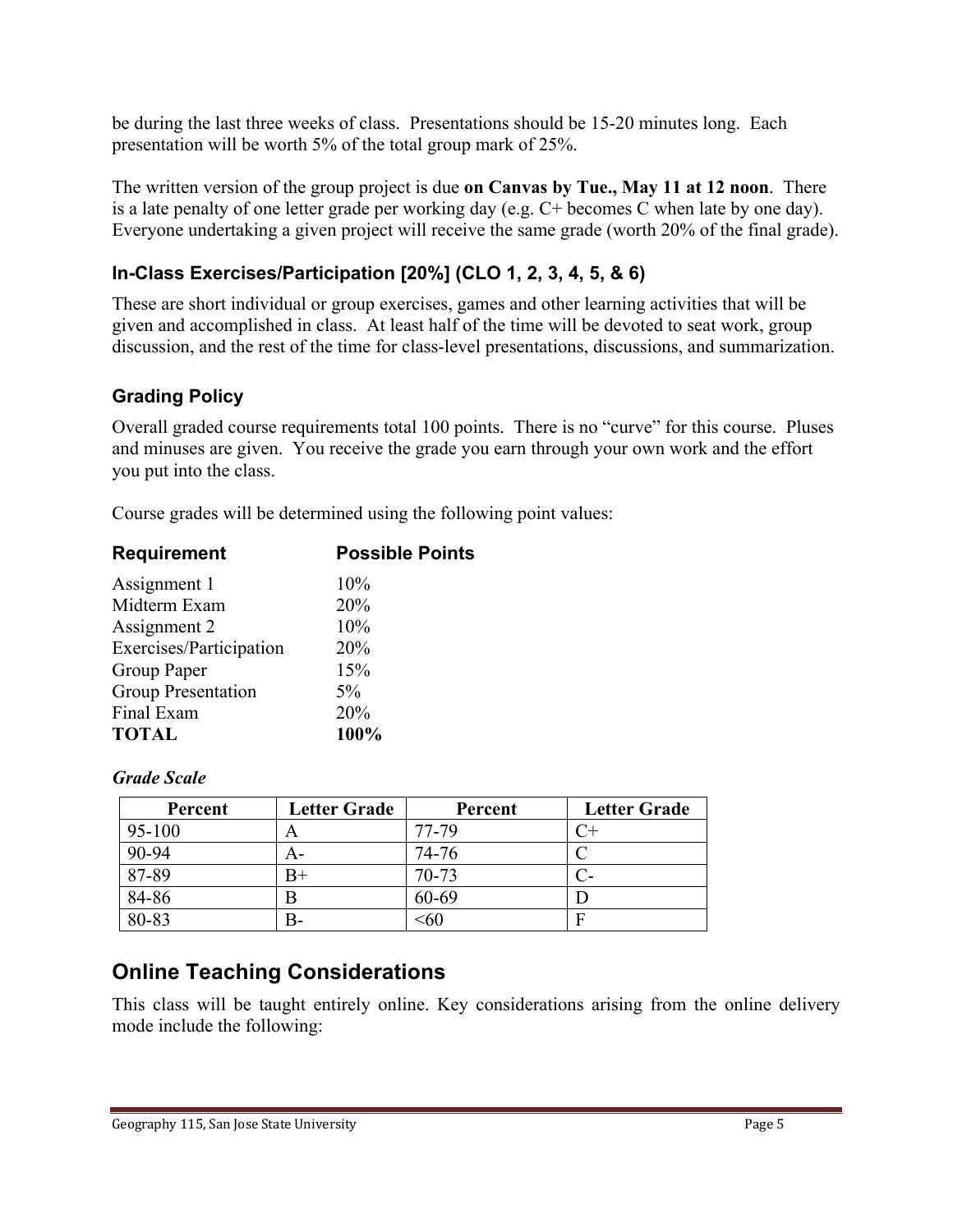be during the last three weeks of class. Presentations should be 15-20 minutes long. Each presentation will be worth 5% of the total group mark of 25%.

The written version of the group project is due **on Canvas by Tue., May 11 at 12 noon**. There is a late penalty of one letter grade per working day (e.g. C+ becomes C when late by one day). Everyone undertaking a given project will receive the same grade (worth 20% of the final grade).

#### **In-Class Exercises/Participation [20%] (CLO 1, 2, 3, 4, 5, & 6)**

These are short individual or group exercises, games and other learning activities that will be given and accomplished in class. At least half of the time will be devoted to seat work, group discussion, and the rest of the time for class-level presentations, discussions, and summarization.

#### **Grading Policy**

Overall graded course requirements total 100 points. There is no "curve" for this course. Pluses and minuses are given. You receive the grade you earn through your own work and the effort you put into the class.

Course grades will be determined using the following point values:

| <b>Requirement</b>        | <b>Possible Points</b> |  |
|---------------------------|------------------------|--|
| Assignment 1              | 10%                    |  |
| Midterm Exam              | 20%                    |  |
| Assignment 2              | 10%                    |  |
| Exercises/Participation   | 20%                    |  |
| Group Paper               | 15%                    |  |
| <b>Group Presentation</b> | $5\%$                  |  |
| Final Exam                | 20%                    |  |
| <b>TOTAL</b>              | 100%                   |  |
|                           |                        |  |

#### *Grade Scale*

| Percent  | <b>Letter Grade</b> | Percent   | <b>Letter Grade</b> |
|----------|---------------------|-----------|---------------------|
| $95-100$ | A                   | 77-79     |                     |
| 90-94    | A-                  | 74-76     |                     |
| 87-89    | B+                  | $70 - 73$ |                     |
| 84-86    | B                   | 60-69     |                     |
| 80-83    | В-                  | 560       | F                   |

# **Online Teaching Considerations**

This class will be taught entirely online. Key considerations arising from the online delivery mode include the following: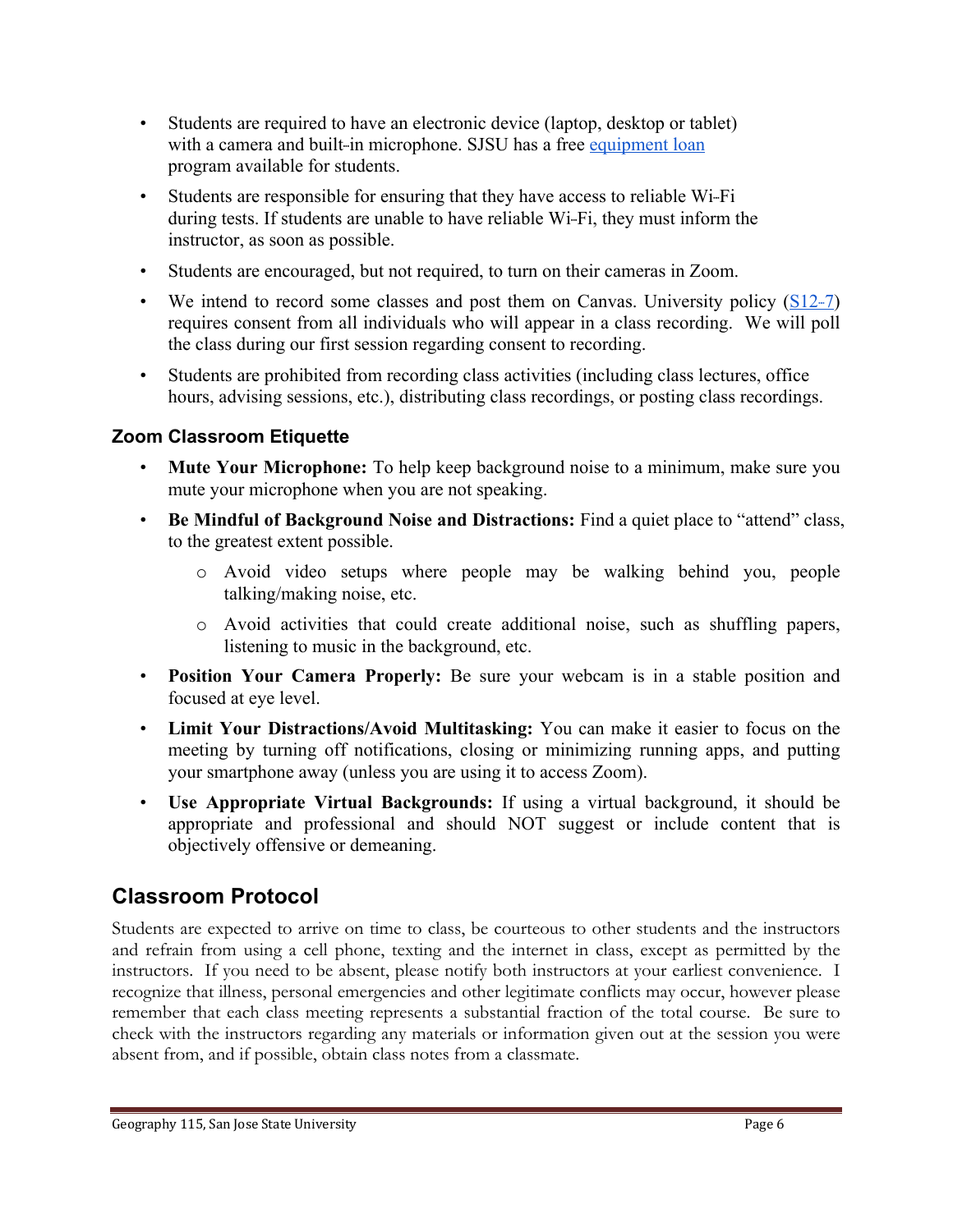- Students are required to have an electronic device (laptop, desktop or tablet) with a camera and built-in microphone. SJSU has a free equipment loan program available for students.
- Students are responsible for ensuring that they have access to reliable Wi-Fi during tests. If students are unable to have reliable Wi-Fi, they must inform the instructor, as soon as possible.
- Students are encouraged, but not required, to turn on their cameras in Zoom.
- We intend to record some classes and post them on Canvas. University policy  $(S12-7)$ requires consent from all individuals who will appear in a class recording. We will poll the class during our first session regarding consent to recording.
- Students are prohibited from recording class activities (including class lectures, office hours, advising sessions, etc.), distributing class recordings, or posting class recordings.

#### **Zoom Classroom Etiquette**

- **Mute Your Microphone:** To help keep background noise to a minimum, make sure you mute your microphone when you are not speaking.
- **Be Mindful of Background Noise and Distractions:** Find a quiet place to "attend" class, to the greatest extent possible.
	- o Avoid video setups where people may be walking behind you, people talking/making noise, etc.
	- o Avoid activities that could create additional noise, such as shuffling papers, listening to music in the background, etc.
- **Position Your Camera Properly:** Be sure your webcam is in a stable position and focused at eye level.
- **Limit Your Distractions/Avoid Multitasking:** You can make it easier to focus on the meeting by turning off notifications, closing or minimizing running apps, and putting your smartphone away (unless you are using it to access Zoom).
- **Use Appropriate Virtual Backgrounds:** If using a virtual background, it should be appropriate and professional and should NOT suggest or include content that is objectively offensive or demeaning.

# **Classroom Protocol**

Students are expected to arrive on time to class, be courteous to other students and the instructors and refrain from using a cell phone, texting and the internet in class, except as permitted by the instructors. If you need to be absent, please notify both instructors at your earliest convenience. I recognize that illness, personal emergencies and other legitimate conflicts may occur, however please remember that each class meeting represents a substantial fraction of the total course. Be sure to check with the instructors regarding any materials or information given out at the session you were absent from, and if possible, obtain class notes from a classmate.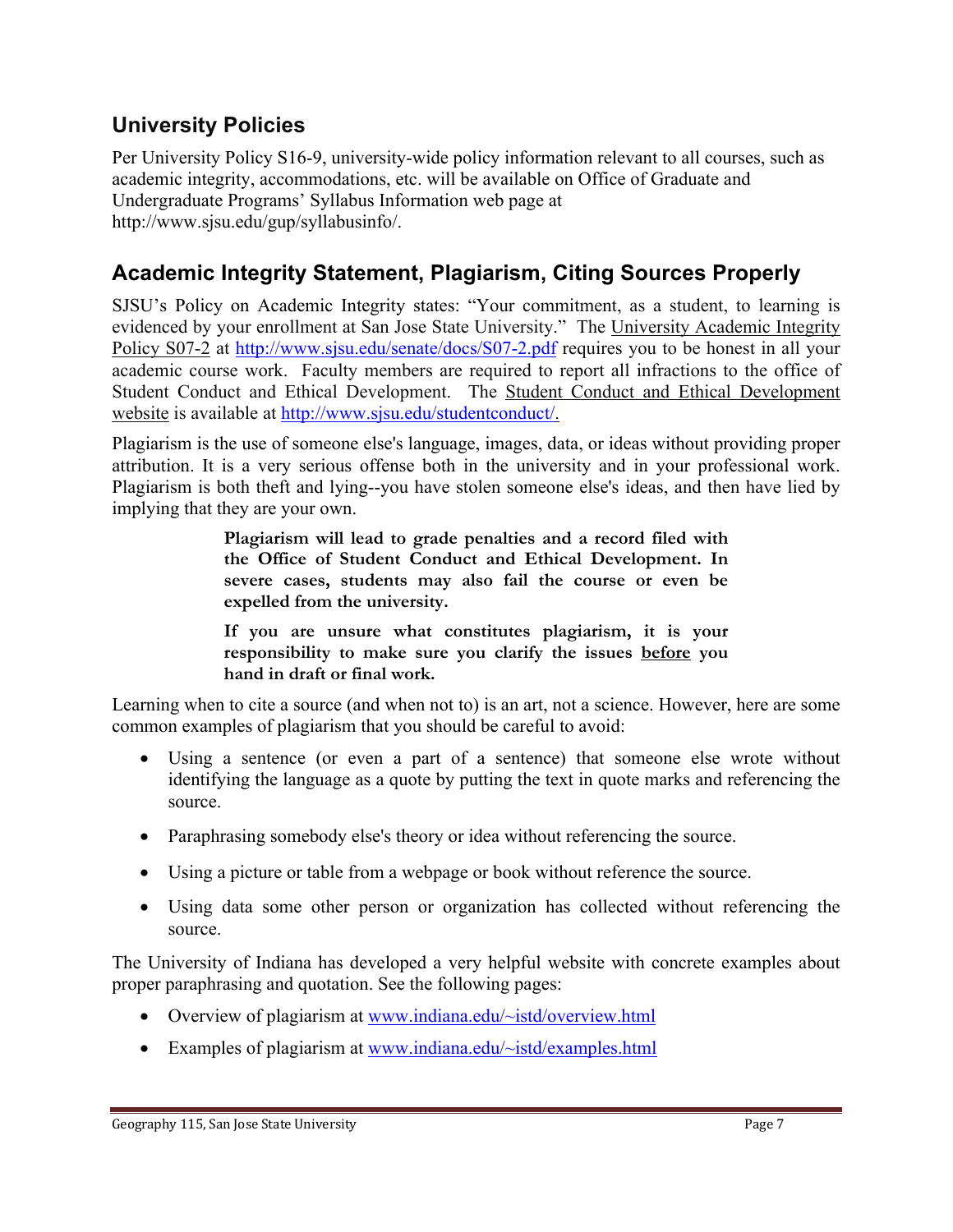### **University Policies**

Per University Policy S16-9, university-wide policy information relevant to all courses, such as academic integrity, accommodations, etc. will be available on Office of Graduate and Undergraduate Programs' Syllabus Information web page at http://www.sjsu.edu/gup/syllabusinfo/.

# **Academic Integrity Statement, Plagiarism, Citing Sources Properly**

SJSU's Policy on Academic Integrity states: "Your commitment, as a student, to learning is evidenced by your enrollment at San Jose State University." The University Academic Integrity Policy S07-2 at http://www.sjsu.edu/senate/docs/S07-2.pdf requires you to be honest in all your academic course work. Faculty members are required to report all infractions to the office of Student Conduct and Ethical Development. The Student Conduct and Ethical Development website is available at http://www.sjsu.edu/studentconduct/.

Plagiarism is the use of someone else's language, images, data, or ideas without providing proper attribution. It is a very serious offense both in the university and in your professional work. Plagiarism is both theft and lying--you have stolen someone else's ideas, and then have lied by implying that they are your own.

> **Plagiarism will lead to grade penalties and a record filed with the Office of Student Conduct and Ethical Development. In severe cases, students may also fail the course or even be expelled from the university.**

> **If you are unsure what constitutes plagiarism, it is your responsibility to make sure you clarify the issues before you hand in draft or final work.**

Learning when to cite a source (and when not to) is an art, not a science. However, here are some common examples of plagiarism that you should be careful to avoid:

- Using a sentence (or even a part of a sentence) that someone else wrote without identifying the language as a quote by putting the text in quote marks and referencing the source.
- Paraphrasing somebody else's theory or idea without referencing the source.
- Using a picture or table from a webpage or book without reference the source.
- Using data some other person or organization has collected without referencing the source.

The University of Indiana has developed a very helpful website with concrete examples about proper paraphrasing and quotation. See the following pages:

- Overview of plagiarism at www.indiana.edu/~istd/overview.html
- Examples of plagiarism at www.indiana.edu/~istd/examples.html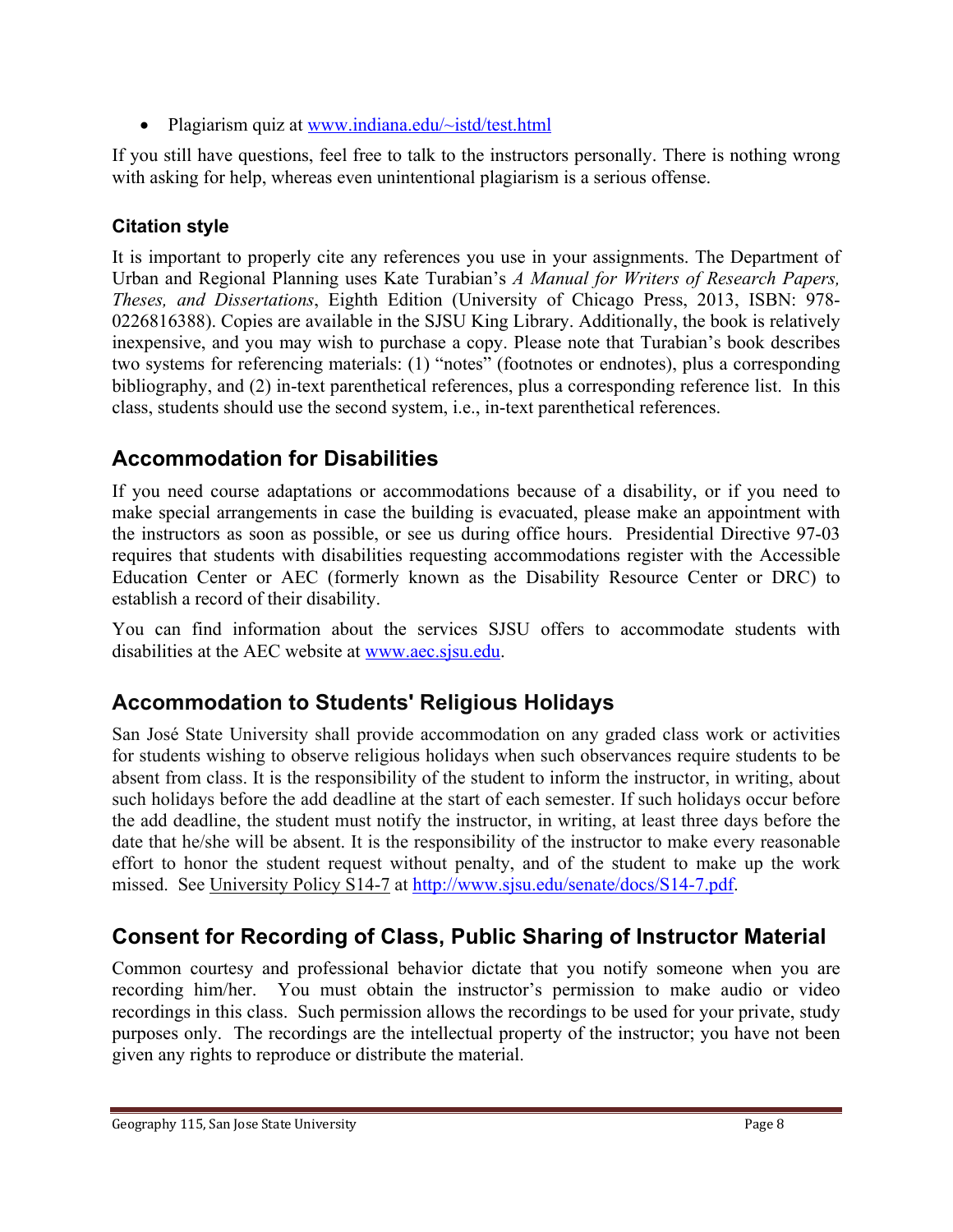• Plagiarism quiz at www.indiana.edu/~istd/test.html

If you still have questions, feel free to talk to the instructors personally. There is nothing wrong with asking for help, whereas even unintentional plagiarism is a serious offense.

#### **Citation style**

It is important to properly cite any references you use in your assignments. The Department of Urban and Regional Planning uses Kate Turabian's *A Manual for Writers of Research Papers, Theses, and Dissertations*, Eighth Edition (University of Chicago Press, 2013, ISBN: 978- 0226816388). Copies are available in the SJSU King Library. Additionally, the book is relatively inexpensive, and you may wish to purchase a copy. Please note that Turabian's book describes two systems for referencing materials: (1) "notes" (footnotes or endnotes), plus a corresponding bibliography, and (2) in-text parenthetical references, plus a corresponding reference list. In this class, students should use the second system, i.e., in-text parenthetical references.

# **Accommodation for Disabilities**

If you need course adaptations or accommodations because of a disability, or if you need to make special arrangements in case the building is evacuated, please make an appointment with the instructors as soon as possible, or see us during office hours. Presidential Directive 97-03 requires that students with disabilities requesting accommodations register with the Accessible Education Center or AEC (formerly known as the Disability Resource Center or DRC) to establish a record of their disability.

You can find information about the services SJSU offers to accommodate students with disabilities at the AEC website at www.aec.sjsu.edu.

# **Accommodation to Students' Religious Holidays**

San José State University shall provide accommodation on any graded class work or activities for students wishing to observe religious holidays when such observances require students to be absent from class. It is the responsibility of the student to inform the instructor, in writing, about such holidays before the add deadline at the start of each semester. If such holidays occur before the add deadline, the student must notify the instructor, in writing, at least three days before the date that he/she will be absent. It is the responsibility of the instructor to make every reasonable effort to honor the student request without penalty, and of the student to make up the work missed. See University Policy S14-7 at http://www.sjsu.edu/senate/docs/S14-7.pdf.

# **Consent for Recording of Class, Public Sharing of Instructor Material**

Common courtesy and professional behavior dictate that you notify someone when you are recording him/her. You must obtain the instructor's permission to make audio or video recordings in this class. Such permission allows the recordings to be used for your private, study purposes only. The recordings are the intellectual property of the instructor; you have not been given any rights to reproduce or distribute the material.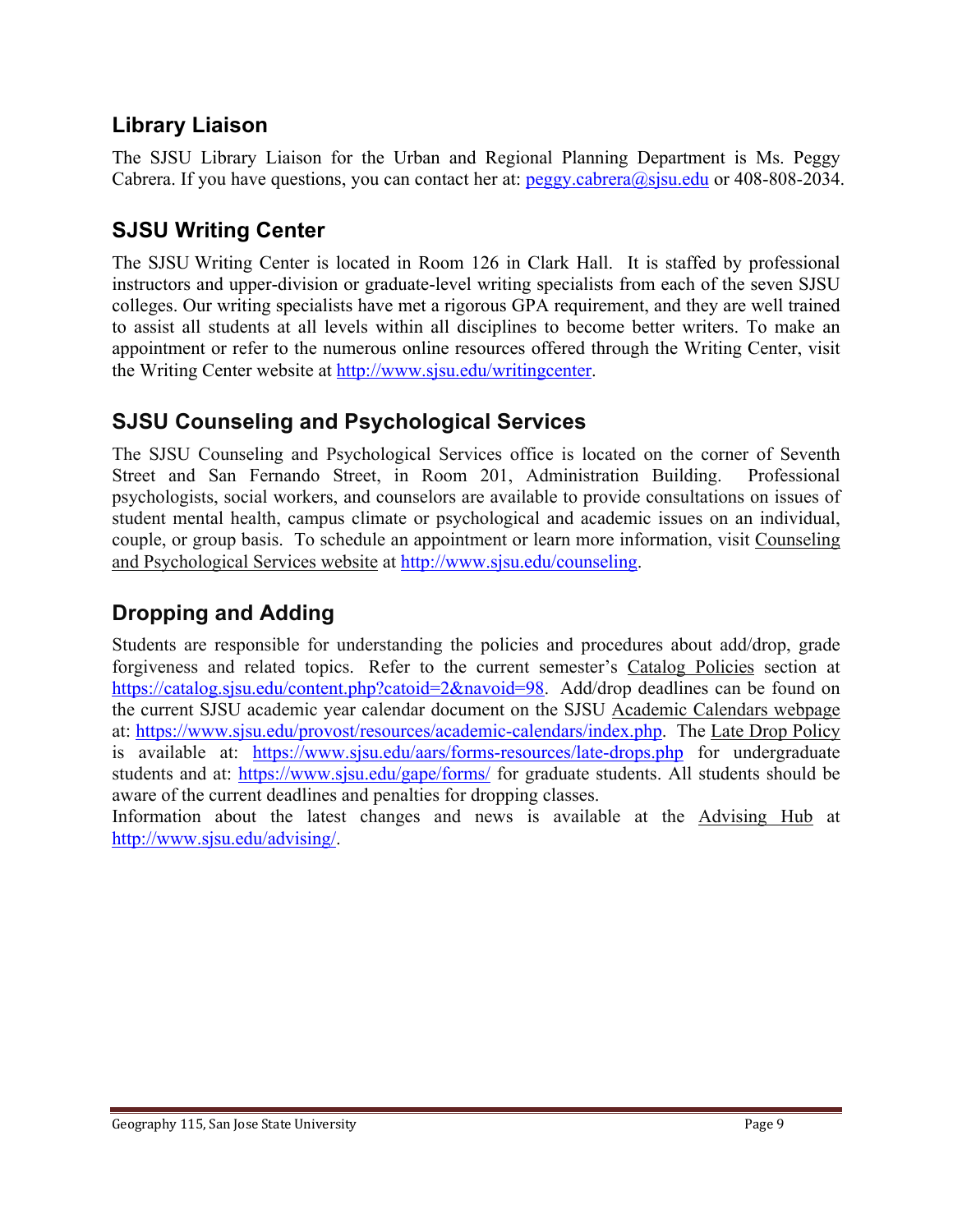### **Library Liaison**

The SJSU Library Liaison for the Urban and Regional Planning Department is Ms. Peggy Cabrera. If you have questions, you can contact her at:  $\frac{\text{peggy.cabrera}(a)$  s sulter 408-808-2034.

### **SJSU Writing Center**

The SJSU Writing Center is located in Room 126 in Clark Hall. It is staffed by professional instructors and upper-division or graduate-level writing specialists from each of the seven SJSU colleges. Our writing specialists have met a rigorous GPA requirement, and they are well trained to assist all students at all levels within all disciplines to become better writers. To make an appointment or refer to the numerous online resources offered through the Writing Center, visit the Writing Center website at http://www.sjsu.edu/writingcenter.

#### **SJSU Counseling and Psychological Services**

The SJSU Counseling and Psychological Services office is located on the corner of Seventh Street and San Fernando Street, in Room 201, Administration Building. Professional psychologists, social workers, and counselors are available to provide consultations on issues of student mental health, campus climate or psychological and academic issues on an individual, couple, or group basis. To schedule an appointment or learn more information, visit Counseling and Psychological Services website at http://www.sjsu.edu/counseling.

### **Dropping and Adding**

Students are responsible for understanding the policies and procedures about add/drop, grade forgiveness and related topics. Refer to the current semester's Catalog Policies section at https://catalog.sjsu.edu/content.php?catoid=2&navoid=98. Add/drop deadlines can be found on the current SJSU academic year calendar document on the SJSU Academic Calendars webpage at: https://www.sjsu.edu/provost/resources/academic-calendars/index.php. The Late Drop Policy is available at: https://www.sjsu.edu/aars/forms-resources/late-drops.php for undergraduate students and at: https://www.sjsu.edu/gape/forms/ for graduate students. All students should be aware of the current deadlines and penalties for dropping classes.

Information about the latest changes and news is available at the Advising Hub at http://www.sjsu.edu/advising/.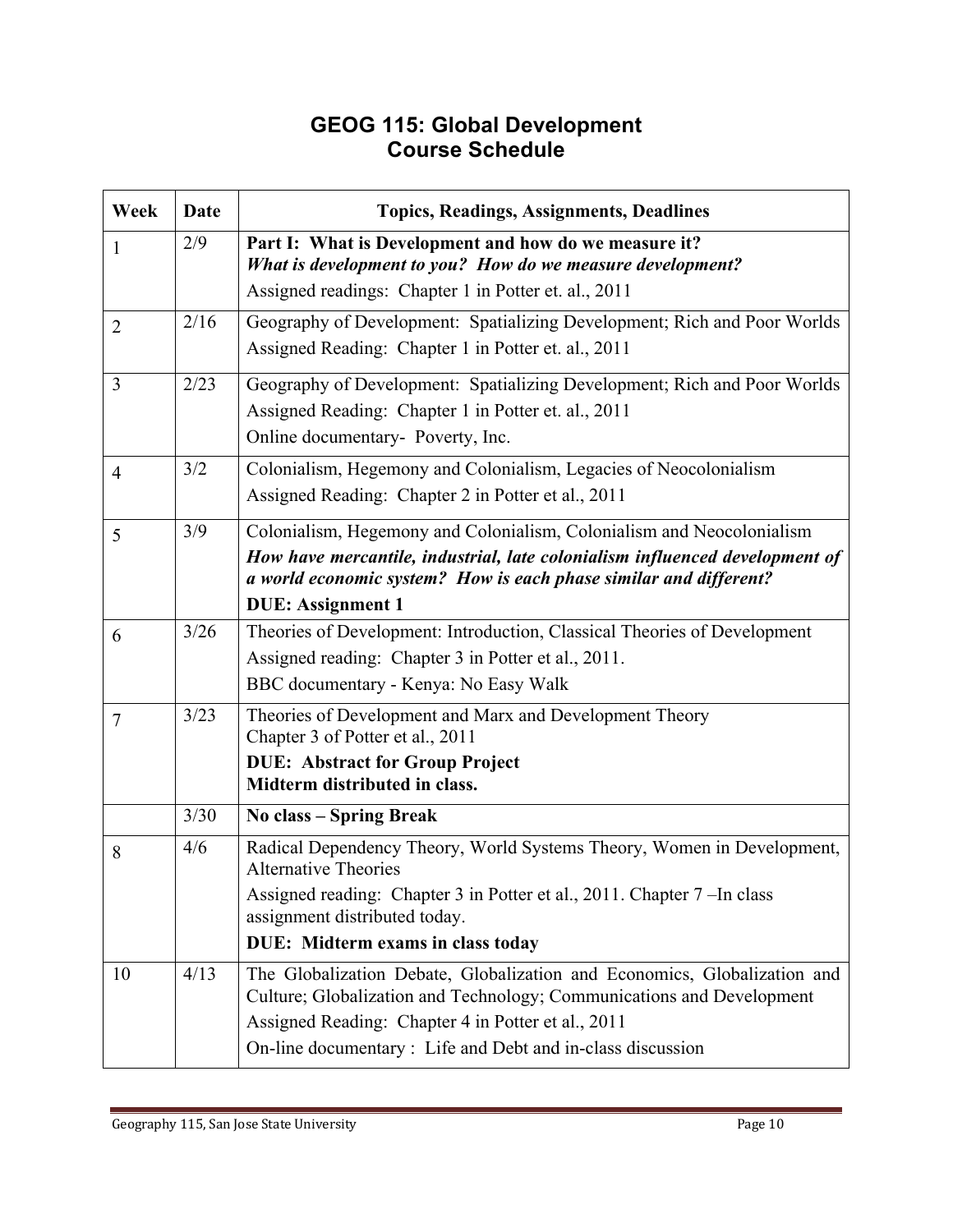#### **GEOG 115: Global Development Course Schedule**

| Week           | Date | <b>Topics, Readings, Assignments, Deadlines</b>                                                                                                                                                                                                                        |
|----------------|------|------------------------------------------------------------------------------------------------------------------------------------------------------------------------------------------------------------------------------------------------------------------------|
| 1              | 2/9  | Part I: What is Development and how do we measure it?<br>What is development to you? How do we measure development?                                                                                                                                                    |
|                |      | Assigned readings: Chapter 1 in Potter et. al., 2011                                                                                                                                                                                                                   |
| $\overline{2}$ | 2/16 | Geography of Development: Spatializing Development; Rich and Poor Worlds<br>Assigned Reading: Chapter 1 in Potter et. al., 2011                                                                                                                                        |
| $\overline{3}$ | 2/23 | Geography of Development: Spatializing Development; Rich and Poor Worlds<br>Assigned Reading: Chapter 1 in Potter et. al., 2011<br>Online documentary- Poverty, Inc.                                                                                                   |
| $\overline{4}$ | 3/2  | Colonialism, Hegemony and Colonialism, Legacies of Neocolonialism<br>Assigned Reading: Chapter 2 in Potter et al., 2011                                                                                                                                                |
| 5              | 3/9  | Colonialism, Hegemony and Colonialism, Colonialism and Neocolonialism<br>How have mercantile, industrial, late colonialism influenced development of<br>a world economic system? How is each phase similar and different?<br><b>DUE: Assignment 1</b>                  |
| 6              | 3/26 | Theories of Development: Introduction, Classical Theories of Development                                                                                                                                                                                               |
|                |      | Assigned reading: Chapter 3 in Potter et al., 2011.                                                                                                                                                                                                                    |
|                |      | BBC documentary - Kenya: No Easy Walk                                                                                                                                                                                                                                  |
| $\overline{7}$ | 3/23 | Theories of Development and Marx and Development Theory<br>Chapter 3 of Potter et al., 2011                                                                                                                                                                            |
|                |      | <b>DUE: Abstract for Group Project</b><br>Midterm distributed in class.                                                                                                                                                                                                |
|                | 3/30 | No class - Spring Break                                                                                                                                                                                                                                                |
| 8              | 4/6  | Radical Dependency Theory, World Systems Theory, Women in Development,<br><b>Alternative Theories</b>                                                                                                                                                                  |
|                |      | Assigned reading: Chapter 3 in Potter et al., 2011. Chapter 7 - In class<br>assignment distributed today.                                                                                                                                                              |
|                |      | DUE: Midterm exams in class today                                                                                                                                                                                                                                      |
| 10             | 4/13 | The Globalization Debate, Globalization and Economics, Globalization and<br>Culture; Globalization and Technology; Communications and Development<br>Assigned Reading: Chapter 4 in Potter et al., 2011<br>On-line documentary : Life and Debt and in-class discussion |